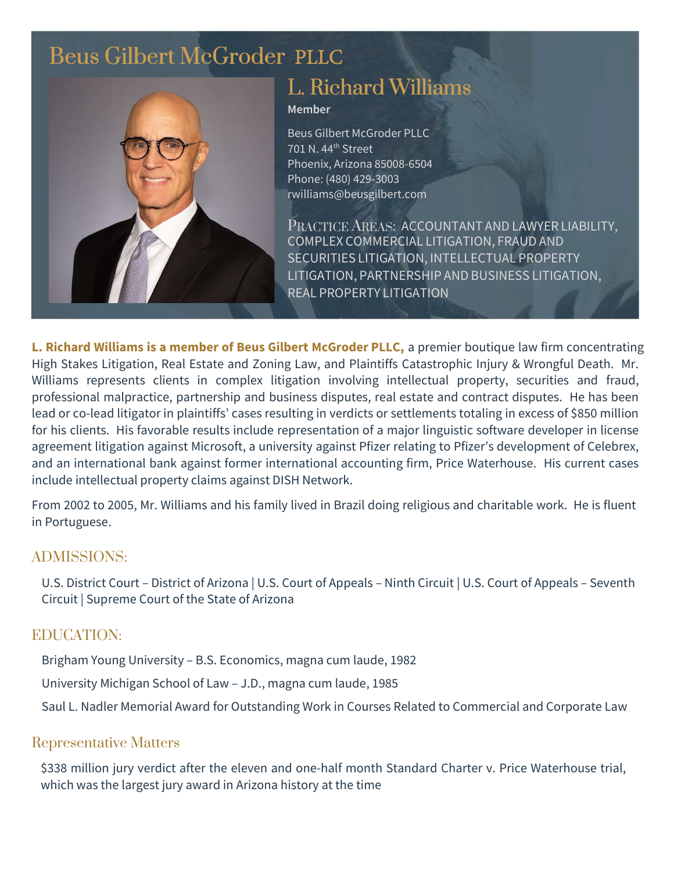# [Beus Gilbert McGroder](https://beusgilbert.com/) PLLC



# [L. Richard Williams](https://beusgilbert.com/team/richard-williams/)

Member

Beus Gilbert McGroder PLLC 701 N. 44th Street Phoenix, Arizona 85008-6504 Phone: (480) 429-3003 rwilliams@beusgilbert.com

PRACTICE AREAS: ACCOUNTANT AND LAWYER LIABILITY, COMPLEX COMMERCIAL LITIGATION, FRAUD AND SECURITIES LITIGATION, INTELLECTUAL PROPERTY LITIGATION, PARTNERSHIP AND BUSINESS LITIGATION, REAL PROPERTY LITIGATION

L. Richard Williams is a **member** of Beus Gilbert McGroder **PLLC**, a premier boutique law firm concentrating High Stakes Litigation, Real Estate and Zoning Law, and Plaintiffs Catastrophic Injury & Wrongful Death. Mr. Williams represents clients in complex litigation involving intellectual property, securities and fraud, professional malpractice, partnership and business disputes, real estate and contract disputes. He has been lead or co-lead litigator in plaintiffs' cases resulting in verdicts or settlements totaling in excess of \$850 million for his clients. His favorable results include representation of a major linguistic software developer in license agreement litigation against Microsoft, a university against Pfizer relating to Pfizer's development of Celebrex, and an international bank against former international accounting firm, Price Waterhouse. His current cases include intellectual property claims against DISH Network.

From 2002 to 2005, Mr. Williams and his family lived in Brazil doing religious and charitable work. He is fluent in Portuguese.

### ADMISSIONS:

U.S. District Court – District of Arizona | U.S. Court of Appeals – Ninth Circuit | U.S. Court of Appeals – Seventh Circuit | Supreme Court of the State of Arizona

## EDUCATION:

Brigham Young University – B.S. Economics, magna cum laude, 1982

University Michigan School of Law – J.D., magna cum laude, 1985

Saul L. Nadler Memorial Award for Outstanding Work in Courses Related to Commercial and Corporate Law

## Representative Matters

\$338 million jury verdict after the eleven and one-half month Standard Charter v. Price Waterhouse trial, which was the largest jury award in Arizona history at the time